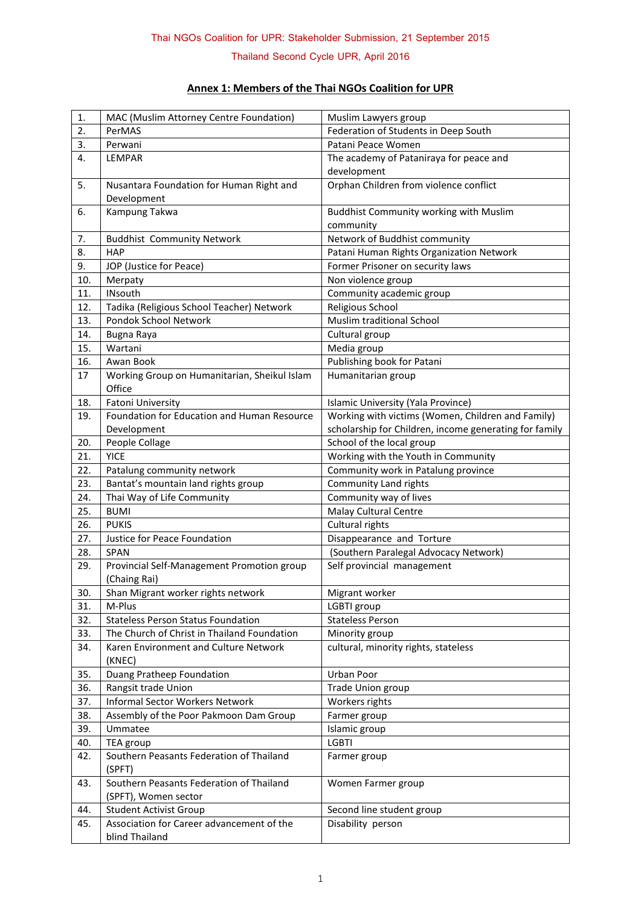**Thailand Second Cycle UPR, April 2016**

## **Annex 1: Members of the Thai NGOs Coalition for UPR**

| 1.  | MAC (Muslim Attorney Centre Foundation)                     | Muslim Lawyers group                                   |
|-----|-------------------------------------------------------------|--------------------------------------------------------|
| 2.  | PerMAS                                                      | Federation of Students in Deep South                   |
| 3.  | Perwani                                                     | Patani Peace Women                                     |
| 4.  | LEMPAR                                                      | The academy of Pataniraya for peace and                |
|     |                                                             | development                                            |
| 5.  | Nusantara Foundation for Human Right and                    | Orphan Children from violence conflict                 |
|     | Development                                                 |                                                        |
| 6.  | Kampung Takwa                                               | Buddhist Community working with Muslim                 |
|     |                                                             | community                                              |
| 7.  | <b>Buddhist Community Network</b>                           | Network of Buddhist community                          |
| 8.  | <b>HAP</b>                                                  | Patani Human Rights Organization Network               |
| 9.  | JOP (Justice for Peace)                                     | Former Prisoner on security laws                       |
| 10. | Merpaty                                                     | Non violence group                                     |
| 11. | <b>INsouth</b>                                              | Community academic group                               |
| 12. | Tadika (Religious School Teacher) Network                   | Religious School                                       |
| 13. | Pondok School Network                                       | Muslim traditional School                              |
| 14. | Bugna Raya                                                  | Cultural group                                         |
| 15. | Wartani                                                     | Media group                                            |
| 16. | Awan Book                                                   | Publishing book for Patani                             |
| 17  | Working Group on Humanitarian, Sheikul Islam                | Humanitarian group                                     |
|     | Office                                                      |                                                        |
| 18. | <b>Fatoni University</b>                                    | Islamic University (Yala Province)                     |
| 19. | Foundation for Education and Human Resource                 | Working with victims (Women, Children and Family)      |
|     | Development                                                 | scholarship for Children, income generating for family |
| 20. | People Collage                                              | School of the local group                              |
| 21. | <b>YICE</b>                                                 | Working with the Youth in Community                    |
| 22. | Patalung community network                                  | Community work in Patalung province                    |
| 23. | Bantat's mountain land rights group                         | Community Land rights                                  |
| 24. | Thai Way of Life Community                                  | Community way of lives                                 |
| 25. | <b>BUMI</b>                                                 | Malay Cultural Centre                                  |
| 26. | <b>PUKIS</b>                                                | Cultural rights                                        |
| 27. | Justice for Peace Foundation                                | Disappearance and Torture                              |
| 28. | <b>SPAN</b>                                                 | (Southern Paralegal Advocacy Network)                  |
| 29. | Provincial Self-Management Promotion group                  | Self provincial management                             |
|     | (Chaing Rai)                                                |                                                        |
| 30. | Shan Migrant worker rights network                          | Migrant worker                                         |
| 31. | M-Plus                                                      | LGBTI group                                            |
| 32. | <b>Stateless Person Status Foundation</b>                   | <b>Stateless Person</b>                                |
| 33. | The Church of Christ in Thailand Foundation                 | Minority group                                         |
| 34. | Karen Environment and Culture Network                       | cultural, minority rights, stateless                   |
|     | (KNEC)                                                      |                                                        |
| 35. | Duang Pratheep Foundation                                   | Urban Poor                                             |
| 36. | Rangsit trade Union                                         | Trade Union group                                      |
| 37. | Informal Sector Workers Network                             | Workers rights                                         |
| 38. | Assembly of the Poor Pakmoon Dam Group                      | Farmer group                                           |
| 39. | Ummatee                                                     | Islamic group                                          |
| 40. | TEA group                                                   | <b>LGBTI</b>                                           |
| 42. | Southern Peasants Federation of Thailand                    | Farmer group                                           |
|     | (SPFT)                                                      |                                                        |
| 43. | Southern Peasants Federation of Thailand                    | Women Farmer group                                     |
|     | (SPFT), Women sector                                        |                                                        |
| 44. | <b>Student Activist Group</b>                               | Second line student group                              |
| 45. | Association for Career advancement of the<br>blind Thailand | Disability person                                      |